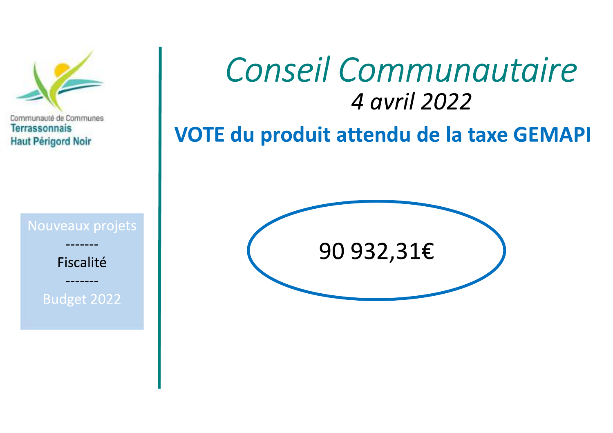

# Conseil Communautaire 4 avril 2022

VOTE du produit attendu de la taxe GEMAPI

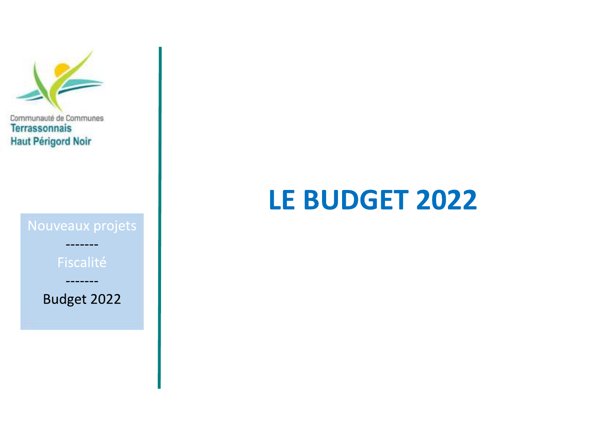

# **LE BUDGET 2022**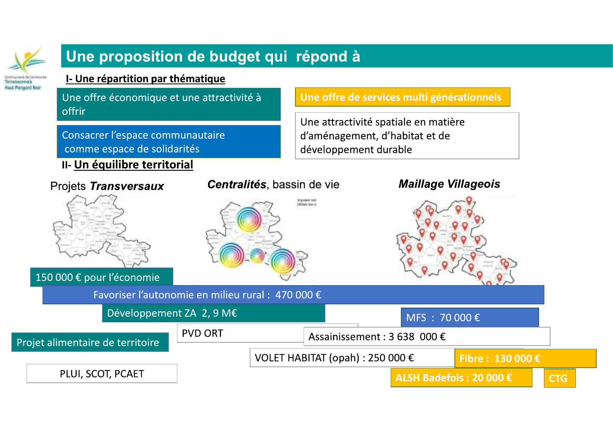

### Une proposition de budget qui répond à

#### I- Une répartition par thématique

Une offre économique et une attractivité à offrir

Consacrer l'espace communautaire comme espace de solidarités

#### II- Un équilibre territorial

Une offre de services multi générationnels

Une attractivité spatiale en matière d'aménagement, d'habitat et de développement durable

#### Projets Transversaux

150 000 € pour l'économie

Projet alimentaire de territoire

PLUI, SCOT, PCAET

#### Centralités, bassin de vie



#### **Maillage Villageois**



Favoriser l'autonomie en milieu rural : 470 000 €

Développement ZA 2, 9 M€

**PVD ORT** 

### MFS : 70 000 €

Assainissement: 3 638 000 €

VOLET HABITAT (opah): 250 000 €

Fibre: 130 000 €

ALSH Badefols: 20 000 €

**CTG**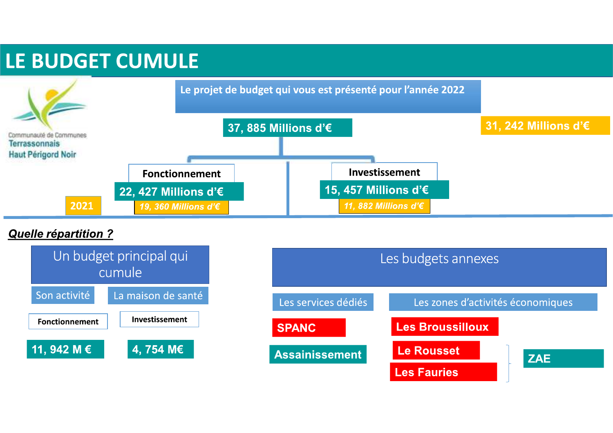## LE BUDGET CUMULE



#### **Quelle répartition ?**



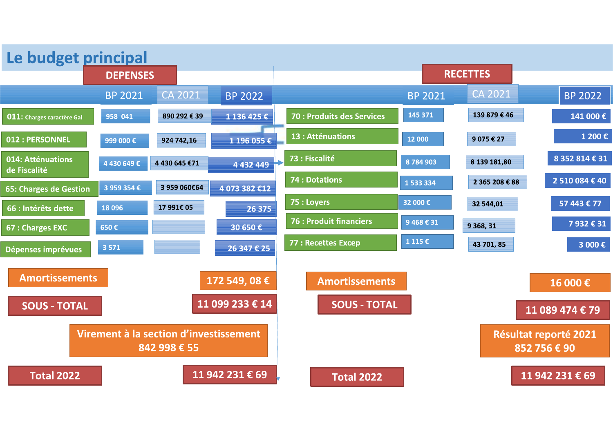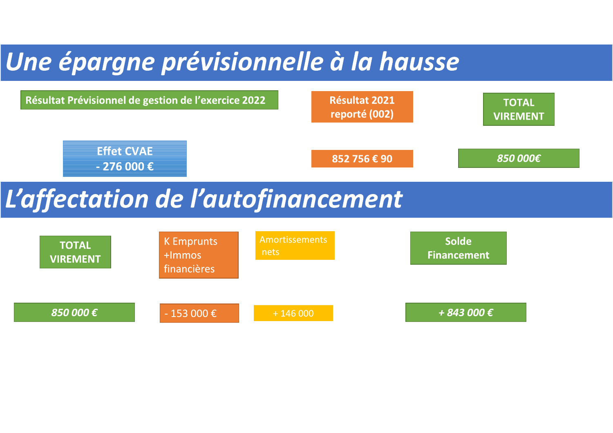# Une épargne prévisionnelle à la hausse

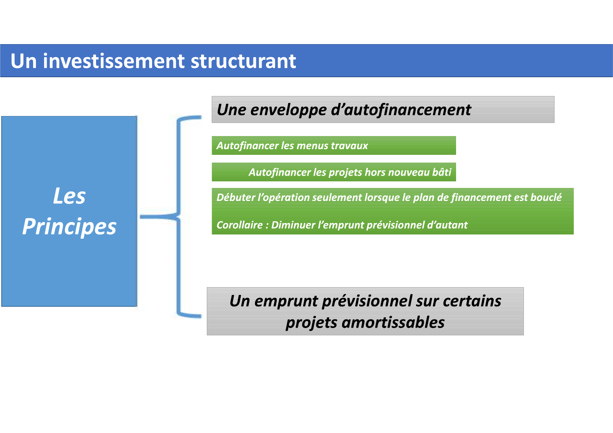## Un investissement structurant

**Les Principes** 

### Une enveloppe d'autofinancement

**Autofinancer les menus travaux** 

Autofinancer les projets hors nouveau bâti

Débuter l'opération seulement lorsque le plan de financement est bouclé

Corollaire : Diminuer l'emprunt prévisionnel d'autant

### Un emprunt prévisionnel sur certains projets amortissables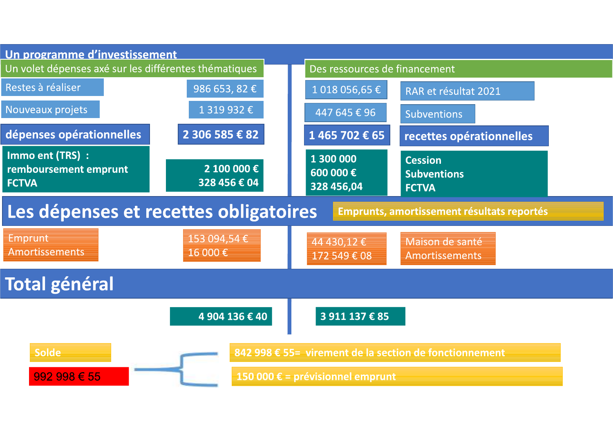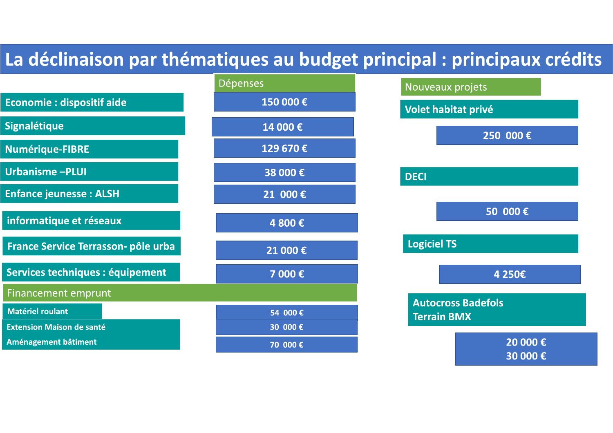## La déclinaison par thématiques au budget principal : principaux crédits

|                                     | <u>l Dépenses</u> | Nouveaux projets                                |
|-------------------------------------|-------------------|-------------------------------------------------|
| <b>Economie: dispositif aide</b>    | 150 000€          | Volet habitat privé                             |
| Signalétique                        | 14 000€           | 250 000€                                        |
| <b>Numérique-FIBRE</b>              | 129 670€          |                                                 |
| <b>Urbanisme-PLUI</b>               | 38 000€           | <b>DECI</b>                                     |
| <b>Enfance jeunesse: ALSH</b>       | 21 000€           |                                                 |
| informatique et réseaux             | 4 800€            | 50 000€                                         |
| France Service Terrasson- pôle urba | 21 000€           | <b>Logiciel TS</b>                              |
| Services techniques : équipement    | 7 000€            | 4 250€                                          |
| <b>Financement emprunt</b>          |                   |                                                 |
| <b>Matériel roulant</b>             | 54 000€           | <b>Autocross Badefols</b><br><b>Terrain BMX</b> |
| <b>Extension Maison de santé</b>    | 30 000€           |                                                 |
| Aménagement bâtiment                | 70 000€           | 20 000€                                         |
|                                     |                   | 30 000€                                         |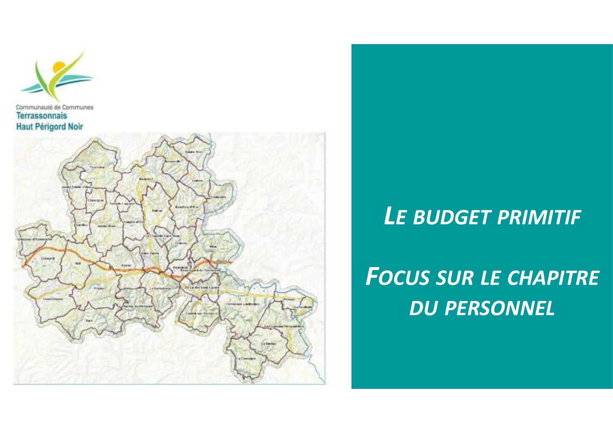



## LE BUDGET PRIMITIF

# **FOCUS SUR LE CHAPITRE DU PERSONNEL**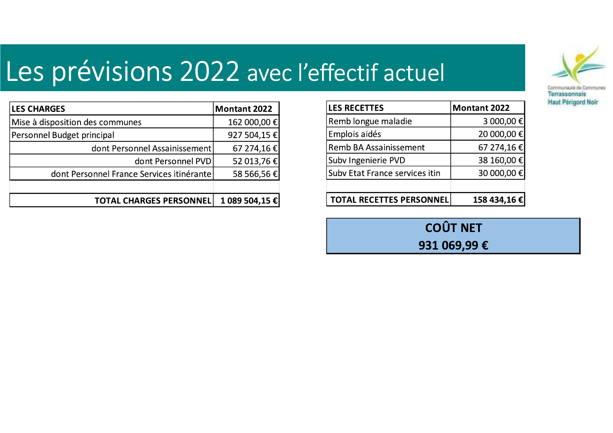# Les prévisions 2022 avec l'effectif actuel



| <b>LES CHARGES</b>                        | <b>Montant 2022</b> |
|-------------------------------------------|---------------------|
| Mise à disposition des communes           | 162 000,00 €        |
| Personnel Budget principal                | 927 504,15 €        |
| dont Personnel Assainissement             | 67 274,16 €         |
| dont Personnel PVD                        | 52 013,76 €         |
| dont Personnel France Services itinérante | 58 566,56 €         |
|                                           |                     |
| <b>TOTAL CHARGES PERSONNEL</b>            | 1 089 504,15 €      |

| <b>LES RECETTES</b>             | <b>Montant 2022</b> |
|---------------------------------|---------------------|
| Remb longue maladie             | 3 000,00 €          |
| Emplois aidés                   | 20 000,00 €         |
| <b>Remb BA Assainissement</b>   | 67 274,16 €         |
| Subv Ingenierie PVD             | 38 160,00 €         |
| Subv Etat France services itin  | 30 000,00 €         |
|                                 |                     |
| <b>TOTAL RECETTES PERSONNEL</b> | 158 434,16 €        |

**COÛT NET** 

931 069,99€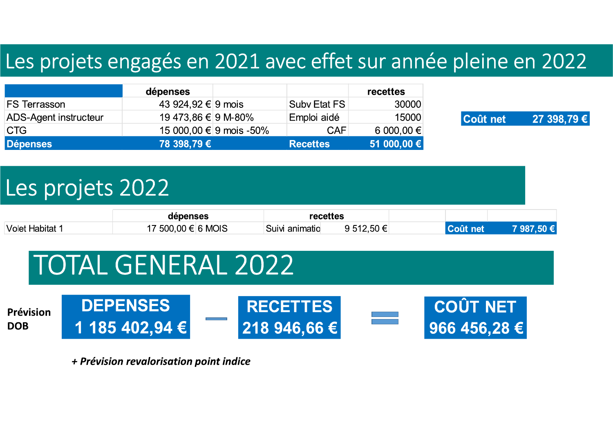## Les projets engagés en 2021 avec effet sur année pleine en 2022

|                              | dépenses            |                         |                 | recettes    |
|------------------------------|---------------------|-------------------------|-----------------|-------------|
| <b>FS Terrasson</b>          | 43 924,92 € 9 mois  |                         | Subv Etat FS    | 30000       |
| <b>ADS-Agent instructeur</b> | 19 473,86 € 9 M-80% |                         | Emploi aidé     | 15000       |
| <b>ICTG</b>                  |                     | 15 000,00 € 9 mois -50% | <b>CAF</b>      | 6 000,00 €  |
| <b>Dépenses</b>              | 78 398,79 €         |                         | <b>Recettes</b> | 51 000,00 € |



# Les projets 2022

**DEPENSES** 

|                              | dépenses    |         |                           | ecettes' |              |  |
|------------------------------|-------------|---------|---------------------------|----------|--------------|--|
| <sup>∣</sup> Volet Habitat 1 | .500.00 € I | ⊺6 MOIS | ⊨anımatıo<br><b>SUIVI</b> | ∽'       | met<br>A I I |  |

# **TOTAL GENERAL 2022**

Prévision **DOB** 





+ Prévision revalorisation point indice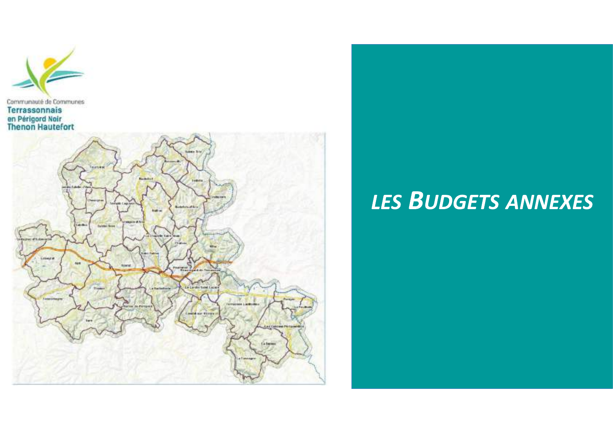



## **LES BUDGETS ANNEXES**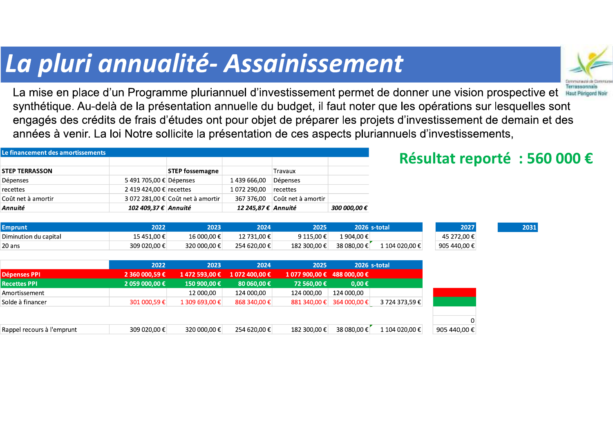## La pluri annualité-Assainissement



La mise en place d'un Programme pluriannuel d'investissement permet de donner une vision prospective et Baut Périgerel Ne synthétique. Au-delà de la présentation annuelle du budget, il faut noter que les opérations sur lesquelles sont engagés des crédits de frais d'études ont pour objet de préparer les projets d'investissement de demain et des années à venir. La loi Notre sollicite la présentation de ces aspects pluriannuels d'investissements,

| Le financement des amortissements |                         |                                   |                      |                                |              |                |              | Résultat reporté : 560 000 € |
|-----------------------------------|-------------------------|-----------------------------------|----------------------|--------------------------------|--------------|----------------|--------------|------------------------------|
| <b>STEP TERRASSON</b>             |                         | <b>STEP fossemagne</b>            |                      | Travaux                        |              |                |              |                              |
| Dépenses                          | 5 491 705,00 € Dépenses |                                   | 1 439 666,00         | Dépenses                       |              |                |              |                              |
| recettes                          | 2 419 424,00 € recettes |                                   | 1 072 290,00         | recettes                       |              |                |              |                              |
| Coût net à amortir                |                         | 3 072 281,00 € Coût net à amortir | 367 376,00           | Coût net à amortir             |              |                |              |                              |
| Annuité                           | 102 409,37 € Annuité    |                                   | 12 245,87 € Annuité  |                                | 300 000,00 € |                |              |                              |
|                                   |                         |                                   |                      |                                |              |                |              |                              |
| <b>Emprunt</b>                    | 2022                    | 2023                              | 2024                 | 2025                           |              | 2026 s-total   | 2027         | 2031                         |
| Diminution du capital             | 15 451,00 €             | 16 000,00 €                       | 12 731,00 €          | 9 115,00 €                     | 1 904,00 €   |                | 45 272,00 €  |                              |
| 20 ans                            | 309 020.00 €            | 320 000,00 €                      | 254 620.00 €         | 182 300.00 €                   | 38 080.00 €  | 1 104 020.00 € | 905 440,00 € |                              |
|                                   |                         |                                   |                      |                                |              |                |              |                              |
|                                   | 2022                    | 2023                              | 2024                 | 2025                           |              | 2026 s-total   |              |                              |
| Dépenses PPI                      | 2 360 000,59 €          | 1472593.00€                       | 1 072 400,00 €       | $1077900,00 \in 488000,00 \in$ |              |                |              |                              |
| <b>Recettes PPI</b>               | 2 059 000,00 €          | 150 900,00 €                      | 80 060,00 $\epsilon$ | 72 560,00 €                    | $0.00 \in$   |                |              |                              |

| <b>Recettes PPI</b>        | 2 059 000,00 € | 150 900,00 €     | 80 060,00 €  | 72 560,00 €    | $0.00 \in$      |                |
|----------------------------|----------------|------------------|--------------|----------------|-----------------|----------------|
| Amortissement              |                | 12 000.00        | 124 000.00   | 124 000,00     | 124 000.00      |                |
| Solde à financer           | 301 000,59€    | 1 309 693.00 €   | 868 340,00 € | 881 340.00 €   | 364 000.00 €    | 3 724 373,59 € |
|                            |                |                  |              |                |                 |                |
|                            |                |                  |              |                |                 |                |
| Rappel recours à l'emprunt | 309 020.00 €   | 320.000.00 $\in$ | 254 620.00 € | $182,300.00$ € | 38.080.00 $\in$ | 1 104 020.00 € |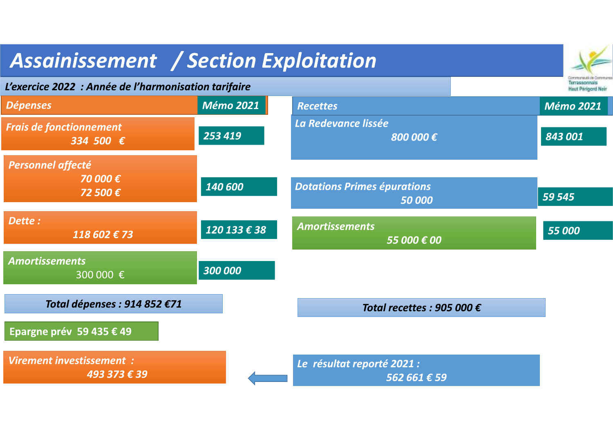| <b>Assainissement / Section Exploitation</b>         |                  |                                            |                                            |
|------------------------------------------------------|------------------|--------------------------------------------|--------------------------------------------|
| L'exercice 2022 : Année de l'harmonisation tarifaire |                  |                                            | Terrassonnais<br><b>Haut Périgord Neir</b> |
| Dépenses                                             | <b>Mémo 2021</b> | <b>Recettes</b>                            | <b>Mémo 2021</b>                           |
| <b>Frais de fonctionnement</b><br>334 500 €          | 253 419          | La Redevance lissée<br>800 000€            | 843 001                                    |
| <b>Personnel affecté</b><br>70 000€<br>72 500€       | 140 600          | <b>Dotations Primes épurations</b>         |                                            |
|                                                      |                  | 50 000                                     | 59 545                                     |
| Dette:<br>118 602 € 73                               | 120 133 € 38     | <b>Amortissements</b><br>55 000 € 00       | 55 000                                     |
| <b>Amortissements</b><br>300 000 €                   | 300 000          |                                            |                                            |
| Total dépenses : 914 852 €71                         |                  | Total recettes : 905 000 $\epsilon$        |                                            |
| Epargne prév 59 435 € 49                             |                  |                                            |                                            |
| Virement investissement :<br>493 373 € 39            |                  | Le résultat reporté 2021 :<br>562 661 € 59 |                                            |

 $\sim$   $\sim$   $\sim$ 

m.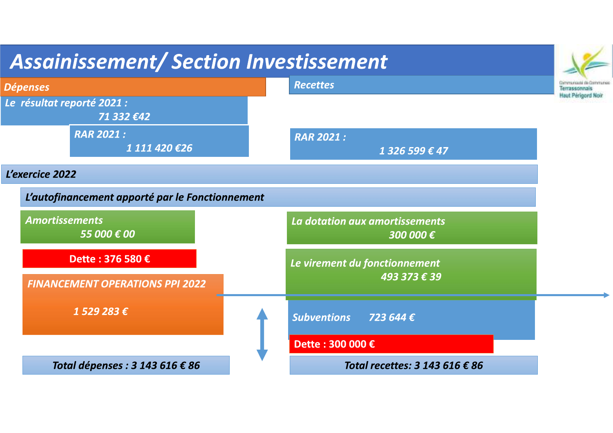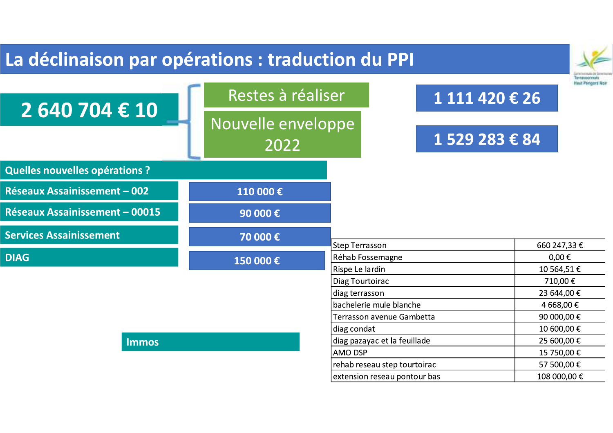| La déclinaison par opérations : traduction du PPI |                            |                                                |                |                            |
|---------------------------------------------------|----------------------------|------------------------------------------------|----------------|----------------------------|
| 2 640 704 € 10                                    | Restes à réaliser          |                                                | 1 111 420 € 26 |                            |
|                                                   | Nouvelle enveloppe<br>2022 |                                                | 1 529 283 € 84 |                            |
| <b>Quelles nouvelles opérations ?</b>             |                            |                                                |                |                            |
| <b>Réseaux Assainissement - 002</b>               | 110 000€                   |                                                |                |                            |
| <b>Réseaux Assainissement - 00015</b>             | 90 000 €                   |                                                |                |                            |
| <b>Services Assainissement</b>                    | 70 000 €                   | <b>Step Terrasson</b>                          |                | 660 247,33 €               |
| <b>DIAG</b>                                       | 150 000€                   | Réhab Fossemagne<br>Rispe Le lardin            |                | $0,00 \in$<br>10 564,51 €  |
|                                                   |                            | Diag Tourtoirac                                |                | 710,00€                    |
|                                                   |                            | diag terrasson                                 |                | 23 644,00 €                |
|                                                   |                            | bachelerie mule blanche                        |                | 4 668,00 €                 |
|                                                   |                            | Terrasson avenue Gambetta                      |                | 90 000,00 €                |
|                                                   |                            | diag condat                                    |                | 10 600,00 €                |
| <b>Immos</b>                                      |                            | diag pazayac et la feuillade<br><b>AMO DSP</b> |                | 25 600,00 €<br>15 750,00 € |
|                                                   |                            | rehab reseau step tourtoirac                   |                | 57 500,00 €                |
|                                                   |                            | extension reseau pontour bas                   |                | 108 000,00 €               |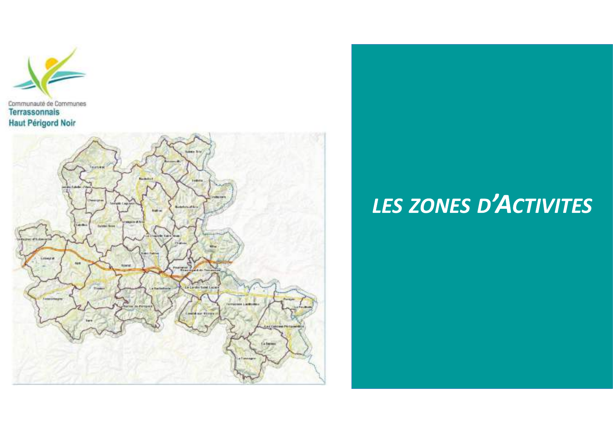



# LES ZONES D'ACTIVITES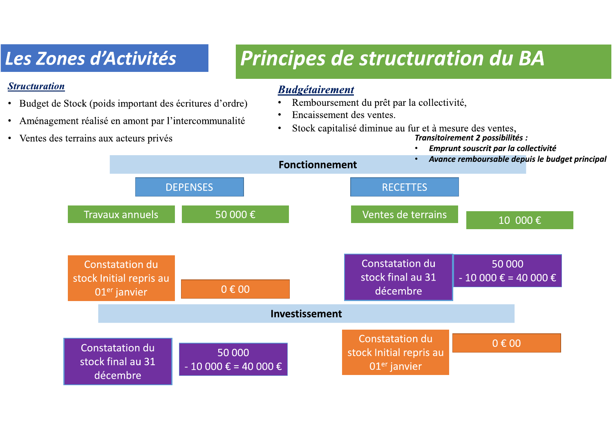## Les Zones d'Activités

#### **Structuration**

- · Budget de Stock (poids important des écritures d'ordre)
- Aménagement réalisé en amont par l'intercommunalité
- Ventes des terrains aux acteurs privés

## **Principes de structuration du BA**

#### **Budgétairement**

- Remboursement du prêt par la collectivité,
- Encaissement des ventes.
- Stock capitalisé diminue au fur et à mesure des ventes,

Transitoirement 2 possibilités :

Emprunt souscrit par la collectivité

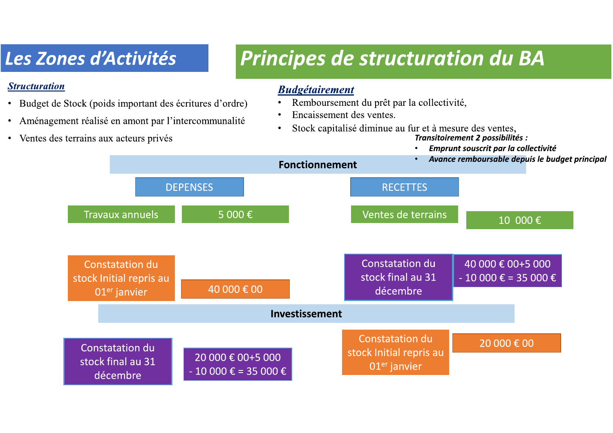## Les Zones d'Activités

#### **Structuration**

- Budget de Stock (poids important des écritures d'ordre)
- Aménagement réalisé en amont par l'intercommunalité
- Ventes des terrains aux acteurs privés

## Principes de structuration du BA

#### **Budgétairement**

- Remboursement du prêt par la collectivité,
- Encaissement des ventes.
- Stock capitalisé diminue au fur et à mesure des ventes,

Transitoirement 2 possibilités :

Emprunt souscrit par la collectivité

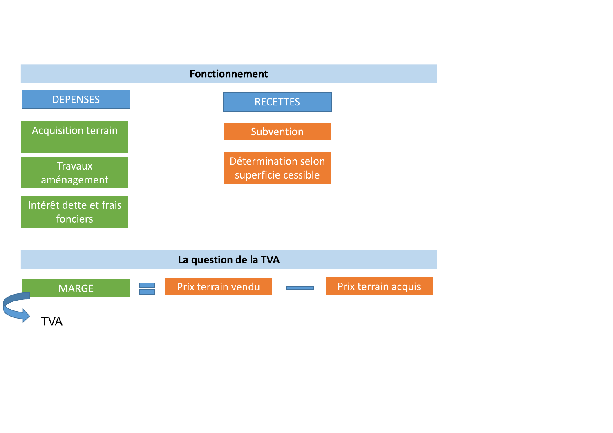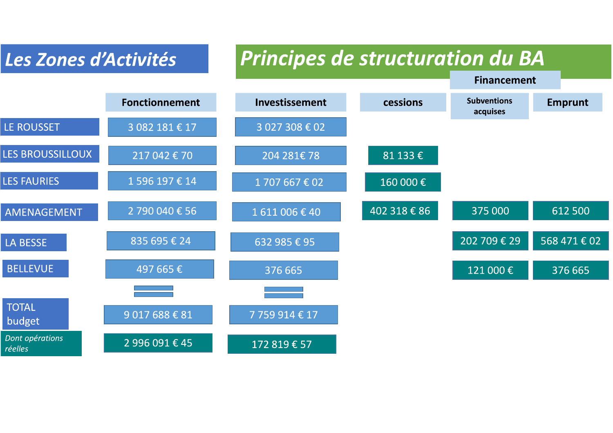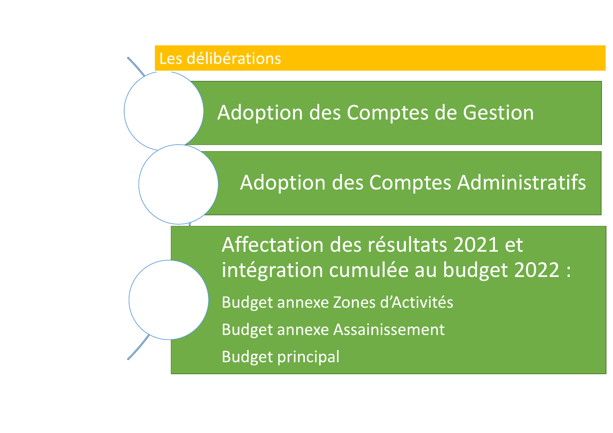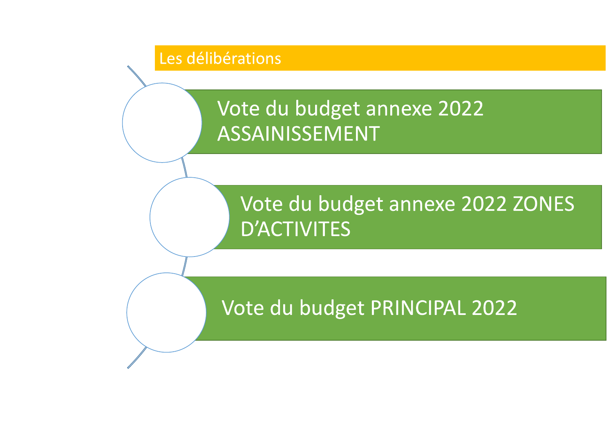